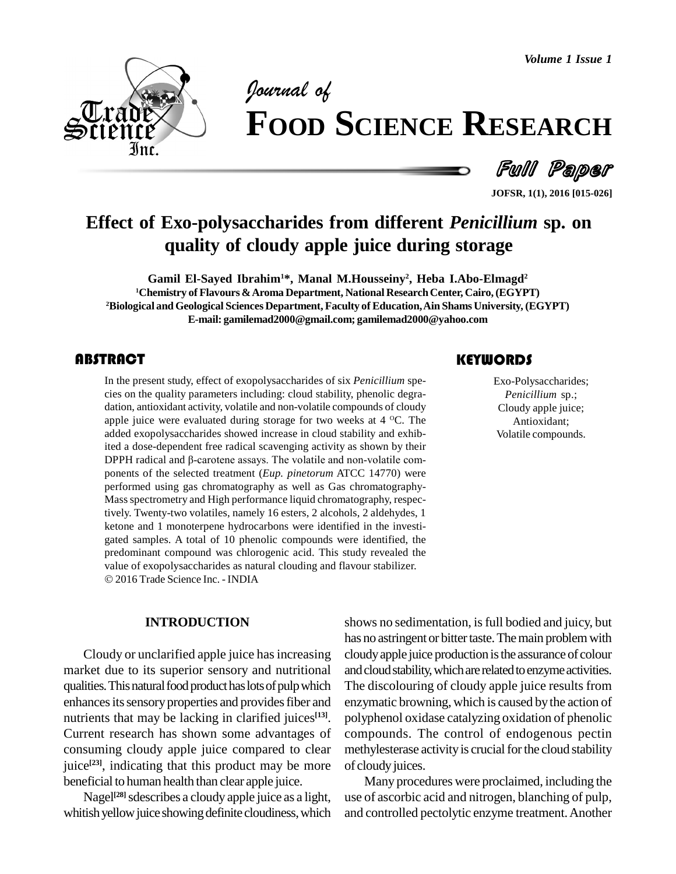*Volume 1 Issue 1*



# *of* **FOOD SCIENCE RESEARCH**

Full Paper

**JOFSR, 1(1), 2016 [015-026]**

# **Effect of Exo-polysaccharides from different** *Penicillium* **sp. on quality of cloudy apple juice during storage**

**Gamil El-Sayed Ibrahim1\*, Manal M.Housseiny 2 , Heba I.Abo-Elmagd 2 <sup>1</sup>Chemistry of Flavours &Aroma Department, National ResearchCenter, Cairo, (EGYPT) <sup>2</sup>Biological andGeological Sciences Department, Faculty of Education,Ain Shams University, (EGYPT) E-mail: [gamilemad2000@gmail.com;](mailto:gamilemad2000@gmail.com;) [gamilemad2000@yahoo.com](mailto:gamilemad2000@yahoo.com)**

## **ABSTRACT**

The present study, effect of exopolysaccharides of six *Penicillium* species on the quality parameters including: cloud stability, phenolic degradation, antioxidant activity, volatile and non-volatile compounds of cloudy a In the present study, effect of exopolysaccharides of six *Penicillium* spe cies on the quality parameters including: cloud stability, phenolic degra dation, antioxidant activity, volatile and non-volatile compounds of cloudy apple juice were evaluated during storage for two weeks at 4 <sup>o</sup>C. The added exopolysaccharides showed increase in cloud stability and exhibited a dose-dependent free radical scavenging activity as shown by their added exopolysaccharides showed increase in cloud stability and exhibited a dose-dependent free radical scavenging activity as shown by their<br>DPPH radical and  $\beta$ -carotene assays. The volatile and non-volatile components of the selected treatment (*Eup. pinetorum* ATCC 14770) were performed using gas chromatography as well as Gas chromatography- Massspectrometry and High performance liquid chromatography, respectively. Twenty-two volatiles, namely 16 esters, 2 alcohols, 2 aldehydes, 1 ketone and 1 monoterpene hydrocarbons were identified in the investi gated samples. A total of 10 phenolic compounds were identified, the predominant compound was chlorogenic acid. This study revealed the value of exopolysaccharides as natural clouding and flavour stabilizer. 2016 Trade Science Inc. - INDIA

#### **INTRODUCTION**

Cloudy or unclarified apple juice hasincreasing market due to its superior sensory and nutritional qualities. This natural food product has lots of pulp which enhances its sensory properties and provides fiber and nutrients that may be lacking in clarified juices<sup>[13]</sup>. po Current research has shown some advantages of consuming cloudy apple juice compared to clear juice<sup>[23]</sup>, indicating that this product may be more of clore beneficial to human health than clear apple juice.

Nagel<sup>[28]</sup> sdescribes a cloudy apple juice as a light, us whitish yellow juice showing definite cloudiness, which

shows no sedimentation, is full bodied and juicy, but has no astringent or bitter taste. The main problem with cloudyapple juice production isthe assurance of colour and cloud stability, which are related to enzyme activities. The discolouring of cloudy apple juice results from enzymatic browning, which is caused bythe action of polyphenol oxidase catalyzing oxidation of phenolic compounds. The control of endogenous pectin methylesterase activity is crucial for the cloud stability of cloudy juices.

Many procedures were proclaimed, including the use of ascorbic acid and nitrogen, blanching of pulp, and controlled pectolytic enzyme treatment.Another

Exo-Polysaccharides; *Penicillium* sp.; Cloudy apple juice; Antioxidant; Volatile compounds.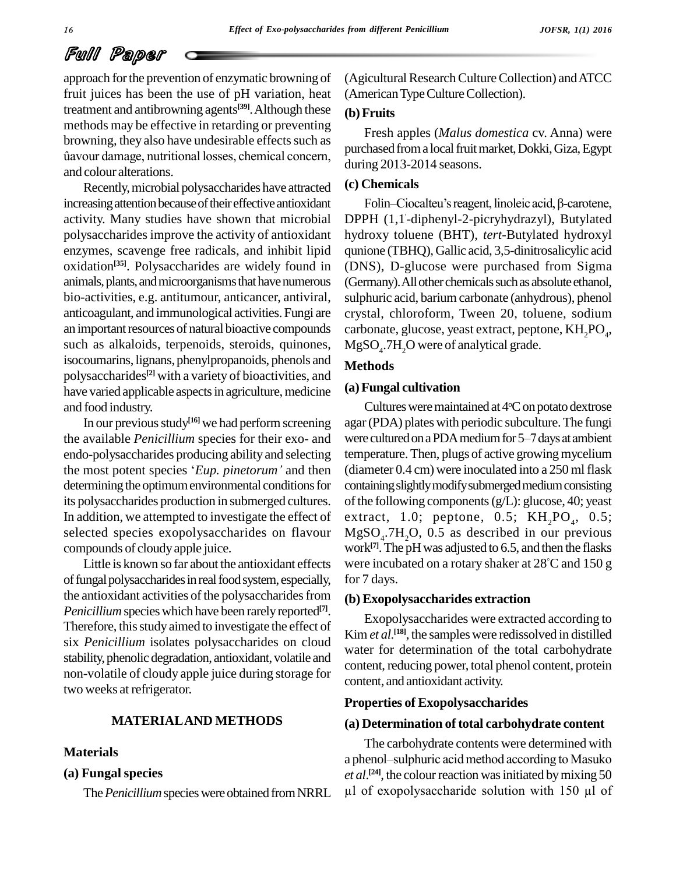approach forthe prevention of enzymatic browning of fruit juices has been the use of pH variation, heat treatment and antibrowning agents<sup>[39]</sup>. Although these (b) Fr methods may be effective in retarding or preventing<br>browning, they also have undesirable effects such as<br>fiavour damage, nutritional losses, chemical concern, browning, they also have undesirable effects such as and colour alterations.

Recently,microbial polysaccharides have attracted increasing attention because of their effective antioxidant activity. Many studies have shown that microbial polysaccharides improve the activity of antioxidant enzymes, scavenge free radicals, and inhibit lipid oxidation<sup>[35]</sup>. Polysaccharides are widely found in (DNS) animals, plants, and microorganisms that have numerous bio-activities, e.g. antitumour, anticancer, antiviral, anticoagulant, and immunological activities. Fungi are an important resources of natural bioactive compounds such as alkaloids, terpenoids, steroids, quinones, isocoumarins, lignans, phenylpropanoids, phenols and polysaccharides **[2]** with a variety of bioactivities, and have varied applicable aspects in agriculture, medicine and food industry.

In our previous study<sup>[16]</sup> we had perform screening agar (P the available *Penicillium* species for their exo- and endo-polysaccharides producing ability and selecting the available *Penicillium* species for their exo- and were curredo-polysaccharides producing ability and selecting temper<br>the most potent species '*Eup. pinetorum*' and then (diame determining the optimum environmental conditions for its polysaccharides production in submerged cultures. In addition, we attempted to investigate the effect of selected species exopolysaccharides on flavour compounds of cloudyapple juice.

Little is known so farabout the antioxidant effects of fungal polysaccharides in real food system, especially, the antioxidant activities of the polysaccharides from *Penicillium* species which have been rarely reported<sup>[7]</sup>. Therefore, this study aimed to investigate the effect of six *Penicillium* isolates polysaccharides on cloud stability, phenolic degradation, antioxidant, volatile and non-volatile of cloudy apple juice during storage for two weeks at refrigerator.

#### **MATERIALAND METHODS**

#### **Materials**

#### **(a) Fungal species**

(Agicultural Research Culture Collection) and ATCC (American Type Culture Collection).

#### **(b)Fruits**

Fresh apples (*Malus domestica* cv. Anna) were purchased from a local fruit market, Dokki, Giza, Egypt during 2013-2014 seasons.

#### **(c) Chemicals**

Folin–Ciocalteu's reagent, linoleic acid,  $\beta$ -carotene, DPPH (1,1 '-diphenyl-2-picryhydrazyl), Butylated hydroxy toluene (BHT), *tert*-Butylated hydroxyl qunione (TBHQ), Gallic acid, 3,5-dinitrosalicylic acid (DNS), D-glucose were purchased from Sigma (Germany). All other chemicals such as absolute ethanol, sulphuric acid, barium carbonate (anhydrous), phenol crystal, chloroform, Tween 20, toluene, sodium carbonate, glucose, yeast extract, peptone,  $\rm{KH_{2}PO_{_{4}}},$  $MgSO<sub>4</sub>$ .7H<sub>2</sub>O were of analytical grade.

#### **Methods**

#### **(a)Fungal cultivation**

Cultures were maintained at  $4^{\circ}$ C on potato dextrose agar(PDA) plates with periodic subculture.The fungi Cultures were maintained at 4°C on potato dextrose<br>agar (PDA) plates with periodic subculture. The fungi<br>were cultured on a PDA medium for 5–7 days at ambient temperature. Then, plugs of active growing mycelium (diameter  $0.4 \text{ cm}$ ) were inoculated into a  $250 \text{ ml}$  flask containingslightlymodifysubmergedmediumconsisting of the following components  $(g/L)$ : glucose, 40; yeast extract, 1.0; peptone, 0.5;  $KH_{2}PO_{4}$ , 0.5;  $MgSO<sub>4</sub>$ .7H<sub>2</sub>O, 0.5 as described in our previous work<sup>[7]</sup>. The pH was adjusted to 6.5, and then the flasks were incubated on a rotary shaker at 28 C and 150 g for 7 days.

#### **(b) Exopolysaccharides extraction**

Exopolysaccharides were extracted according to Kim *et al*.<sup>[18]</sup>, the samples were redissolved in distilled water for determination of the total carbohydrate content, reducing power, total phenol content, protein content, and antioxidant activity.

#### **Properties of Exopolysaccharides**

#### **(a) Determination of total carbohydrate content**

The *Penicillium* species were obtained from NRRL  $\mu$ l of exopolysaccharide solution with 150  $\mu$ l of The carbohydrate contents were determined with (a) Determination of total carbohydrate content<br>The carbohydrate contents were determined with<br>a phenol–sulphuric acid method according to Masuko *et al.*<sup>[24]</sup>, the colour reaction was initiated by mixing 50 nenol-sulphuric acid method according to Masuko<br>  $U^{[24]}$ , the colour reaction was initiated by mixing 50<br>
of exonolysaccharide solution with 150 µl of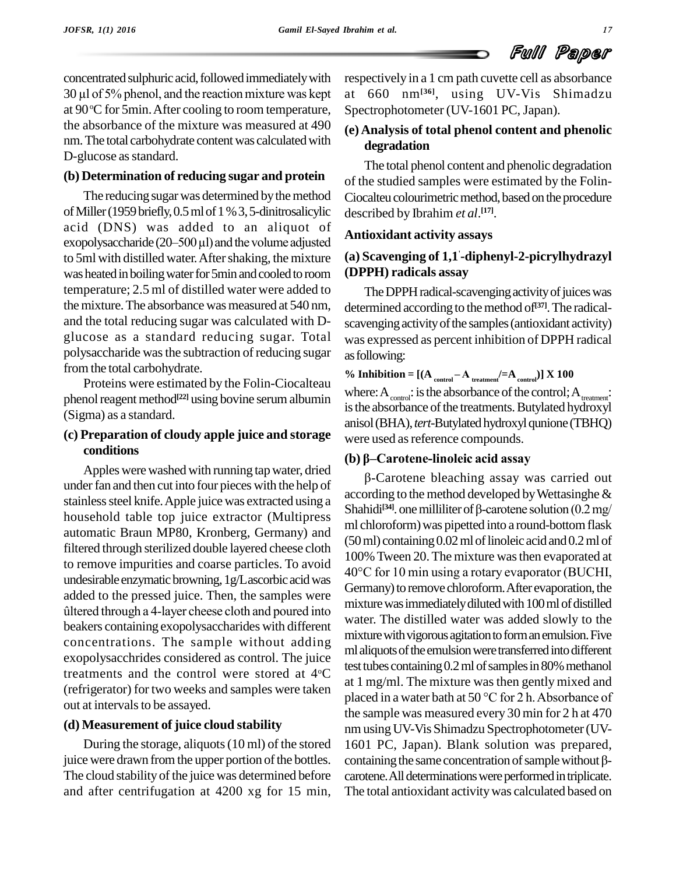concentrated sulphuric acid, followed immediately with respect concentrated sulphuric acid, followed immediately with<br>30 µl of 5% phenol, and the reaction mixture was kept at at 90 °C for 5min. After cooling to room temperature, Sp the absorbance of the mixture was measured at 490 nm. The total carbohydrate content was calculated with D-glucose as standard.

#### **(b) Determination of reducing sugar and protein**

The reducing sugar was determined by the method ofMiller(1959briefly,0.5mlof1%3,5-dinitrosalicylic acid (DNS) was added to an aliquot of  $\lambda$ of Miller (1959 briefly, 0.5 ml of 1 % 3, 5-dinitrosalicylic describacid (DNS) was added to an aliquot of exopolysaccharide (20–500  $\mu$ l) and the volume adjusted Antiox to 5ml with distilled water. After shaking, the mixture was heated in boiling water for 5min and cooled to room temperature; 2.5 ml of distilled water were added to the mixture. The absorbance was measured at 540 nm, and the total reducing sugar was calculated with D-glucose as <sup>a</sup> standard reducing sugar. Total polysaccharide wasthe subtraction of reducing sugar from the total carbohydrate.

Proteins were estimated by the Folin-Ciocalteau phenol reagent method<sup>[22]</sup> using bovine serum albumin  $\frac{W(1)}{2}$ (Sigma) as a standard.

#### **(c) Preparation of cloudy apple juice and storage conditions**

Apples were washed with running tap water, dried<br>Apples were washed with running tap water, dried<br> $\frac{1}{2}$ under fan and then cut into four pieces with the help of stainless steel knife. Apple juice was extracted using a household table top juice extractor (Multipress automatic Braun MP80, Kronberg, Germany) and filtered through sterilized double layered cheese cloth to remove impurities and coarse particles. To avoid  $40^{\circ}$ C for 10 min using a rotary evaporator (BUCHI, undesirable enzymatic browning,  $1g/L$ ascorbic acid was<br>added to the pressed juice. Then, the samples were<br>fultered through a 4-layer cheese cloth and poured into<br>mixture added to the pressed juice. Then, the samples were beakers containing exopolysaccharides with different concentrations. The sample without adding exopolysacchrides considered as control. The juice treatments and the control were stored at 4°C (refrigerator) for two weeks and samples were taken out at intervals to be assayed.

#### **(d) Measurement of juice cloud stability**

During the storage, aliquots(10 ml) of the stored juice were drawn from the upper portion of the bottles. containing the same concentration of sample without  $\beta$ -The cloud stability of the juice was determined before and after centrifugation at 4200 xg for 15 min,

respectively in a 1 cm path cuvette cell as absorbance at 660 nm**[36]**, using UV-Vis Shimadzu Spectrophotometer (UV-1601 PC, Japan).

## **(e) Analysis of total phenol content and phenolic degradation**

The total phenol content and phenolic degradation of the studied samples were estimated by the Folin- Ciocalteu colourimetric method, based on the procedure described by Ibrahim *et al*. **[17]**.

#### **Antioxidant activity assays**

## **(a) Scavenging of 1,1 '-diphenyl-2-picrylhydrazyl (DPPH) radicals assay**

The DPPH radical-scavenging activity of juices was determined according to themethod of **[37]**.The radical scavenging activity of the samples (antioxidant activity) was expressed as percent inhibition of DPPH radical asfollowing:

% **Inhibition** =  $[(A_{\text{control}} - A_{\text{treatment}}/=A_{\text{control}})] \times 100$ where:  $A_{\text{control}}$ : is the absorbance of the control;  $A_{\text{treatment}}$ : is the absorbance of the treatments. Butylated hydroxyl anisol (BHA), *tert*-Butylated hydroxyl qunione (TBHQ)<br>were used as reference compounds.<br>**(b) β–Carotene-linoleic acid assay** were used as reference compounds.

test tubes containing  $0.2$  ml of samples in 80% methanol Carotene bleaching assay was carried out<br>ling to the method developed by Wettasinghe &<br>li<sup>[34]</sup>. one milliliter of β-carotene solution (0.2 mg/ according to the method developed by Wettasinghe  $\&$ Shahidi<sup>[34]</sup>. one milliliter of  $\beta$ -carotene solution (0.2 mg/ ml chloroform) was pipetted into a round-bottom flask (50 ml) containing 0.02 ml of linoleic acid and 0.2 ml of<br>100% Tween 20. The mixture was then evaporated at<br>40°C for 10 min using a rotary evaporator (BUCHI, 100% Tween 20.The mixture wasthen evaporated at Germany) to remove chloroform. After evaporation, the mixture was immediately diluted with 100 ml of distilled water. The distilled water was added slowly to the mixture with vigorous agitation to form an emulsion. Five ml aliquots of the emulsion were transferred into different at 1 mg/ml. The mixture wasthen gently mixed and placed in <sup>a</sup> water bath at <sup>50</sup> °C for <sup>2</sup> h.Absorbance of the sample was measured every 30 min for 2 h at 470 nm using UV-Vis Shimadzu Spectrophotometer (UV-1601 PC, Japan). Blank solution was prepared, containing the same concentration of sample without  $\beta$ -1601 PC, Japan). Blank solution was prepared, carotene. All determinations were performed in triplicate. The total antioxidant activitywas calculated based on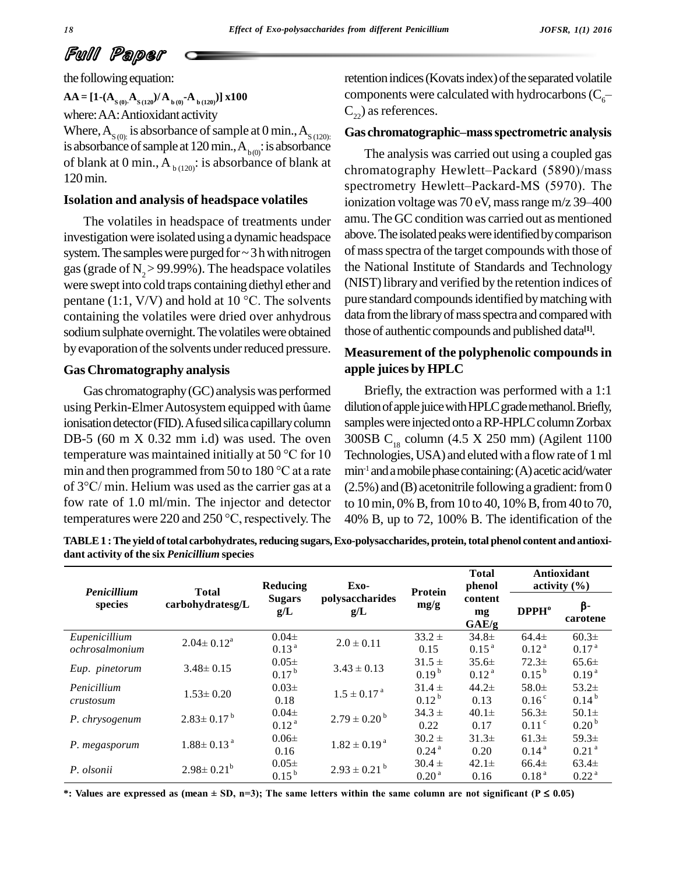the following equation:

 $\mathbf{AA} = [\mathbf{1} \cdot (\mathbf{A}_{S(0)} \cdot \mathbf{A}_{S(120)}) / \mathbf{A}_{B(0)} \cdot \mathbf{A}_{B(120)})] \times 100$ where:AA:Antioxidant activity Where,  $A_{S(0)}$ : is absorbance of sample at 0 min.,  $A_{S(120)}$ : is absorbance of sample at 120 min.,  $A_{b(0)}$ : is absorbance of blank at 0 min.,  $A_{b(120)}$ : is absorbance of blank at 120min.

The volatiles in headspace of treatments under investigation were isolated using a dynamic headspace system. The samples were purged for  $\sim$  3 h with nitrogen gas (grade of  $N_{2}$  > 99.99%). The headspace volatiles were swept into cold traps containing diethyl ether and (NIST) gas (grade of N<sub>2</sub> > 99.99%). The headspace volatiles the N were swept into cold traps containing diethyl ether and (NIS pentane (1:1, V/V) and hold at 10 °C. The solvents pure containing the volatiles were dried over anhydrous sodium sulphate overnight. The volatiles were obtained by evaporation of the solvents under reduced pressure.

#### **Gas Chromatography analysis**

Gas chromatography(GC) analysiswas performed using Perkin-Elmer Autosystem equipped with ûame ionisation detector (FID). A fused silica capillary column sample<br>DB-5 (60 m X 0.32 mm i.d) was used. The oven 300SB<br>temperature was maintained initially at 50 °C for 10 Techno DB-5 (60 m X 0.32 mm i.d) was used. The oven DB-5 (60 m X 0.32 mm i.d) was used. The oven 300SI<br>temperature was maintained initially at 50 °C for 10 Techn<br>min and then programmed from 50 to 180 °C at a rate  $\text{min}^{-1}i$ temperature was maintained initially at 50 °C for 10 Techn<br>min and then programmed from 50 to 180 °C at a rate min<sup>-1</sup> a<br>of 3 °C/ min. Helium was used as the carrier gas at a (2.5%) fow rate of 1.0 ml/min. The injector and detector to 1 of 3°C/ min. Helium was used as the carrier gas at a  $(2.5\%$ <br>fow rate of 1.0 ml/min. The injector and detector to 101<br>temperatures were 220 and 250 °C, respectively. The 40% 1

retention indices (Kovats index) of the separated volatile components were calculated with hydrocarbons ( $C_6$ – $C_2$ ) as references.

#### **Gas chromatographicñmassspectrometric analysis**

**Isolation and analysis of headspace volatiles** The analysis was carried out using a coupled gas Gas chromatographic–mass spectrometric analysis<br>The analysis was carried out using a coupled gas<br>chromatography Hewlett–Packard (5890)/mass The analysis was carried out using a coupled gas<br>chromatography Hewlett–Packard (5890)/mass<br>spectrometry Hewlett–Packard-MS (5970). The chromatography Hewlett–Packard (5890)/mass<br>spectrometry Hewlett–Packard-MS (5970). The<br>ionization voltage was 70 eV, mass range m/z 39–400 amu. The GC condition was carried out as mentioned above. The isolated peaks were identified by comparison of mass spectra of the target compounds with those of the National Institute of Standards and Technology (NIST)libraryand verified by the retention indices of pure standard compounds identified by matching with data from the library of mass spectra and compared with those of authentic compounds and published data **[1]**.

## **Measurement of the polyphenolic compoundsin apple juices by HPLC**

Briefly, the extraction was performed with a 1:1 dilution of apple juice with HPLC grade methanol. Briefly, samples were injected onto a RP-HPLC column Zorbax 300SB  $C_{18}$  column (4.5 X 250 mm) (Agilent 1100 Technologies, USA) and eluted with a flow rate of 1 ml min -1 andamobilephasecontaining:(A)aceticacid/water  $(2.5\%)$  and (B) acetonitrile following a gradient: from 0 to 10 min, 0% B, from 10 to 40, 10% B, from 40 to 70, 40% B, up to 72, 100% B. The identification of the

**TABLE1 :The yield oftotal carbohydrates, reducing sugars,Exo-polysaccharides, protein,total phenol content and antioxi dant activity of the six** *Penicillium* **species**

| Penicillium                     | <b>Total</b>                                                               | Reducing                       | Exo-                         | <b>Protein</b>                  | <b>Total</b><br>phenol         | Antioxidant<br>activity $(\% )$ |                                |  |
|---------------------------------|----------------------------------------------------------------------------|--------------------------------|------------------------------|---------------------------------|--------------------------------|---------------------------------|--------------------------------|--|
| species                         | polysaccharides<br><b>Sugars</b><br>carbohydratesg/L<br>mg/g<br>g/L<br>g/L | content<br>mg<br>GAE/g         | DPPH <sup>o</sup>            | β-<br>carotene                  |                                |                                 |                                |  |
| Eupenicillium<br>ochrosalmonium | $2.04 \pm 0.12^a$                                                          | $0.04\pm$<br>0.13 <sup>a</sup> | $2.0 \pm 0.11$               | $33.2 \pm$<br>0.15              | $34.8 \pm$<br>$0.15^{a}$       | $64.4\pm$<br>0.12 <sup>a</sup>  | $60.3\pm$<br>0.17 <sup>a</sup> |  |
| Eup. pinetorum                  | $3.48 \pm 0.15$                                                            | $0.05\pm$<br>0.17 <sup>b</sup> | $3.43 \pm 0.13$              | $31.5 \pm$<br>$0.19^{b}$        | $35.6\pm$<br>0.12 <sup>a</sup> | $72.3+$<br>$0.15^{b}$           | $65.6\pm$<br>0.19 <sup>a</sup> |  |
| Penicillium<br>crustosum        | $1.53 \pm 0.20$                                                            | $0.03\pm$<br>0.18              | $1.5 \pm 0.17$ <sup>a</sup>  | $31.4 \pm$<br>$0.12^{b}$        | $44.2\pm$<br>0.13              | $58.0\pm$<br>$0.16^\circ$       | $53.2\pm$<br>$0.14^{b}$        |  |
| P. chrysogenum                  | $2.83 \pm 0.17^{\text{ b}}$                                                | $0.04\pm$<br>0.12 <sup>a</sup> | $2.79 \pm 0.20^{\mathrm{b}}$ | $34.3 \pm$<br>0.22              | $40.1\pm$<br>0.17              | $56.3\pm$<br>0.11 <sup>c</sup>  | $50.1\pm$<br>0.20 <sup>b</sup> |  |
| P. megasporum                   | $1.88 \pm 0.13$ <sup>a</sup>                                               | $0.06\pm$<br>0.16              | $1.82 \pm 0.19^{\text{ a}}$  | $30.2 \pm$<br>0.24 <sup>a</sup> | $31.3\pm$<br>0.20              | $61.3\pm$<br>0.14 <sup>a</sup>  | $59.3\pm$<br>0.21 <sup>a</sup> |  |
| P. olsonii                      | $2.98 \pm 0.21^b$                                                          | $0.05\pm$<br>$0.15^{b}$        | $2.93 \pm 0.21$ <sup>b</sup> | $30.4 \pm$<br>0.20 <sup>a</sup> | $42.1 \pm$<br>0.16             | $66.4\pm$<br>0.18 <sup>a</sup>  | $63.4\pm$<br>0.22 <sup>a</sup> |  |

\*: Values are expressed as (mean  $\pm$  SD, n=3); The same letters within the same column are not significant ( $P \le 0.05$ )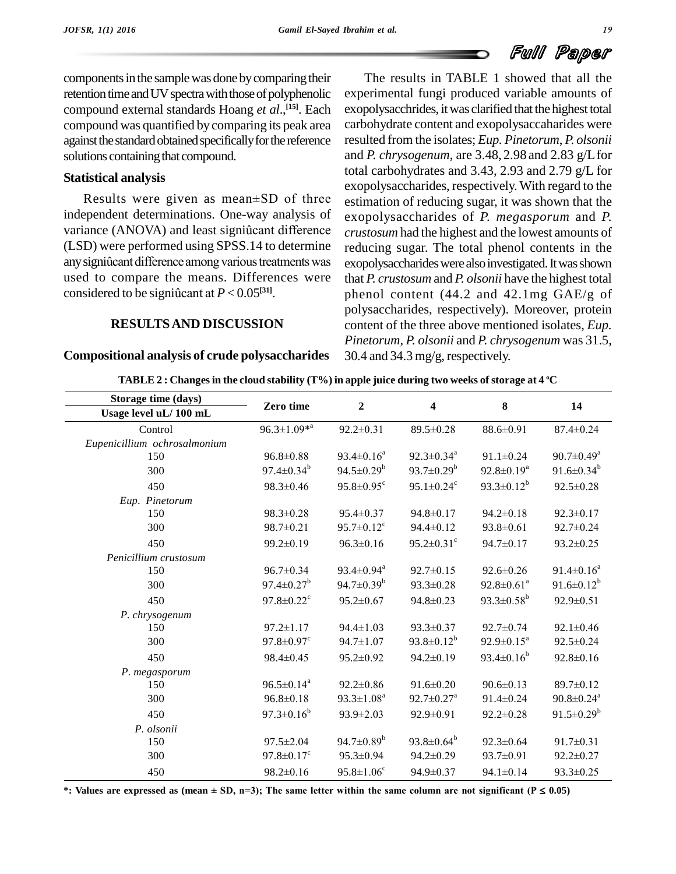components in the sample was done by comparing their retention time and UV spectra with those of polyphenolic compound external standards Hoang *et al*., **[15]**. Each compound was quantified by comparing its peak area against the standard obtained specifically for the reference solutions containing that compound.

#### **Statistical analysis**

Results were given as mean±SD of three independent determinations. One-way analysis of Results were given as mean $\pm$ SD of three estim<br>independent determinations. One-way analysis of exoperation<br>variance (ANOVA) and least signiûcant difference cruste (LSD) were performed using SPSS.14 to determine variance (ANOVA) and least signiûcant difference<br>(LSD) were performed using SPSS.14 to determine<br>any signiûcant difference among various treatments was exop used to compare the means. Differences were that  $P$ . any signiûcant difference among various treatments<br>used to compare the means. Differences v<br>considered to be signiûcant at  $P < 0.05^{[31]}$ . considered to be significant at  $P < 0.05^{[31]}$ .

#### **RESULTSAND DISCUSSION**

#### **Compositional analysis of crude polysaccharides**

The results in TABLE 1 showed that all the experimental fungi produced variable amounts of exopolysacchrides, it was clarified that the highest total carbohydrate content and exopolysaccaharides were resulted from the isolates; *Eup. Pinetorum*, *P. olsonii* and *P. chrysogenum*, are 3.48, 2.98 and 2.83 g/Lfor total carbohydrates and 3.43, 2.93 and 2.79 g/L for exopolysaccharides, respectively. With regard to the estimation of reducing sugar, it was shown that the exopolysaccharides of *P. megasporum* and *P. crustosum* had the highest and the lowest amounts of reducing sugar. The total phenol contents in the exopolysaccharides were also investigated. It was shown that *P. crustosum* and *P. olsonii* have the highest total phenol content (44.2 and 42.1mg GAE/g of polysaccharides, respectively). Moreover, protein content of the three above mentioned isolates, *Eup. Pinetorum*, *P. olsonii* and *P. chrysogenum* was 31.5, 30.4 and 34.3 mg/g, respectively.

| Storage time (days)          |                              |                              |                              |                              |                              |  |
|------------------------------|------------------------------|------------------------------|------------------------------|------------------------------|------------------------------|--|
| Usage level uL/100 mL        | Zero time                    | $\overline{2}$               | $\overline{\mathbf{4}}$      | $\bf{8}$                     | 14                           |  |
| Control                      | $96.3 \pm 1.09^{*a}$         | $92.2 \pm 0.31$              | 89.5±0.28                    | 88.6±0.91                    | $87.4 \pm 0.24$              |  |
| Eupenicillium ochrosalmonium |                              |                              |                              |                              |                              |  |
| 150                          | $96.8 \pm 0.88$              | $93.4 \pm 0.16^a$            | $92.3 \pm 0.34$ <sup>a</sup> | $91.1 \pm 0.24$              | $90.7 \pm 0.49^{\mathrm{a}}$ |  |
| 300                          | $97.4 \pm 0.34^b$            | $94.5 \pm 0.29^b$            | $93.7 \pm 0.29^b$            | $92.8 \pm 0.19^a$            | 91.6 $\pm$ 0.34 <sup>b</sup> |  |
| 450                          | $98.3 \pm 0.46$              | $95.8 \pm 0.95$ <sup>c</sup> | $95.1 \pm 0.24$ <sup>c</sup> | 93.3 $\pm$ 0.12 <sup>b</sup> | $92.5 \pm 0.28$              |  |
| Eup. Pinetorum               |                              |                              |                              |                              |                              |  |
| 150                          | $98.3 \pm 0.28$              | $95.4 \pm 0.37$              | $94.8 \pm 0.17$              | $94.2 \pm 0.18$              | $92.3 \pm 0.17$              |  |
| 300                          | $98.7 \pm 0.21$              | $95.7 \pm 0.12$ <sup>c</sup> | $94.4 \pm 0.12$              | $93.8 \pm 0.61$              | $92.7 \pm 0.24$              |  |
| 450                          | $99.2 \pm 0.19$              | $96.3 \pm 0.16$              | $95.2 \pm 0.31$ °            | $94.7 \pm 0.17$              | $93.2 \pm 0.25$              |  |
| Penicillium crustosum        |                              |                              |                              |                              |                              |  |
| 150                          | $96.7 \pm 0.34$              | 93.4 $\pm$ 0.94 $^{\circ}$   | $92.7 \pm 0.15$              | $92.6 \pm 0.26$              | $91.4 \pm 0.16^a$            |  |
| 300                          | $97.4 \pm 0.27^b$            | 94.7 $\pm$ 0.39 <sup>b</sup> | $93.3 \pm 0.28$              | $92.8 \pm 0.61^a$            | 91.6 $\pm$ 0.12 <sup>b</sup> |  |
| 450                          | $97.8 \pm 0.22$ <sup>c</sup> | $95.2 \pm 0.67$              | $94.8 \pm 0.23$              | 93.3 $\pm$ 0.58 <sup>b</sup> | $92.9 \pm 0.51$              |  |
| P. chrysogenum               |                              |                              |                              |                              |                              |  |
| 150                          | $97.2 \pm 1.17$              | $94.4 \pm 1.03$              | $93.3 \pm 0.37$              | $92.7 \pm 0.74$              | $92.1 \pm 0.46$              |  |
| 300                          | $97.8 \pm 0.97$ <sup>c</sup> | $94.7 \pm 1.07$              | 93.8 $\pm$ 0.12 <sup>b</sup> | $92.9 \pm 0.15^a$            | $92.5 \pm 0.24$              |  |
| 450                          | $98.4 \pm 0.45$              | $95.2 \pm 0.92$              | $94.2 \pm 0.19$              | 93.4 $\pm$ 0.16 <sup>b</sup> | $92.8 \pm 0.16$              |  |
| P. megasporum                |                              |                              |                              |                              |                              |  |
| 150                          | $96.5 \pm 0.14$ <sup>a</sup> | $92.2 \pm 0.86$              | $91.6 \pm 0.20$              | $90.6 \pm 0.13$              | 89.7±0.12                    |  |
| 300                          | $96.8 \pm 0.18$              | $93.3 \pm 1.08^a$            | $92.7 \pm 0.27$ <sup>a</sup> | $91.4 \pm 0.24$              | $90.8 \pm 0.24$ <sup>a</sup> |  |
| 450                          | $97.3 \pm 0.16^b$            | $93.9 \pm 2.03$              | $92.9 \pm 0.91$              | $92.2 \pm 0.28$              | 91.5 $\pm$ 0.29 <sup>b</sup> |  |
| P. olsonii                   |                              |                              |                              |                              |                              |  |
| 150                          | $97.5 \pm 2.04$              | 94.7 $\pm$ 0.89 <sup>b</sup> | 93.8 $\pm$ 0.64 <sup>b</sup> | $92.3 \pm 0.64$              | $91.7 \pm 0.31$              |  |
| 300                          | $97.8 \pm 0.17$ <sup>c</sup> | 95.3±0.94                    | $94.2 \pm 0.29$              | $93.7 \pm 0.91$              | $92.2 \pm 0.27$              |  |
| 450                          | $98.2 \pm 0.16$              | $95.8 \pm 1.06^c$            | $94.9 \pm 0.37$              | $94.1 \pm 0.14$              | $93.3 \pm 0.25$              |  |

TABLE 2 : Changes in the cloud stability (T%) in apple juice during two weeks of storage at 4 °C

\*: Values are expressed as (mean  $\pm$  SD, n=3); The same letter within the same column are not significant ( $P \le 0.05$ )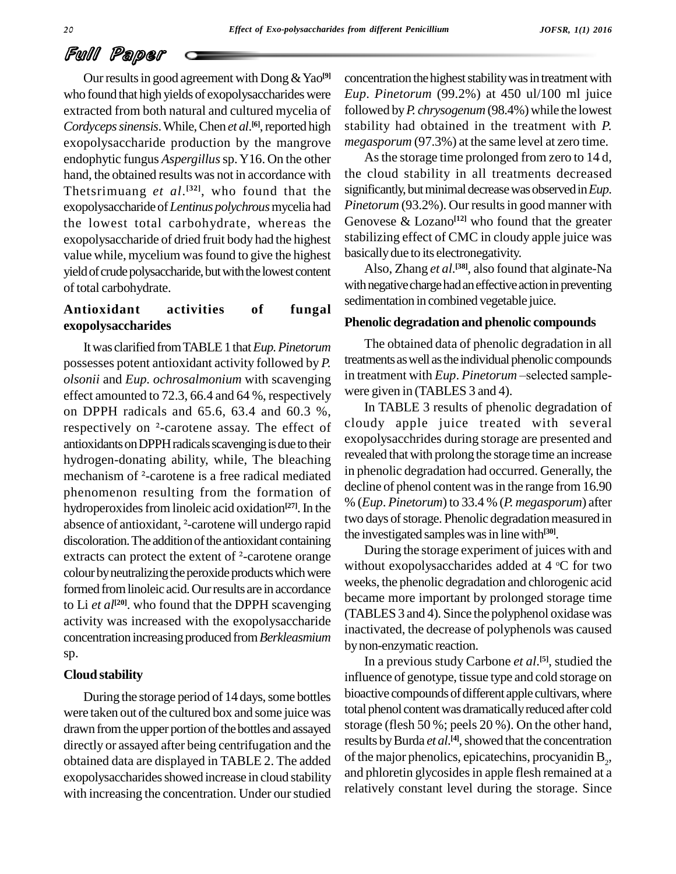Our results in good agreement with Dong & Yao<sup>[9]</sup> conce who found that high yields of exopolysaccharides were extracted from both natural and cultured mycelia of Cordyceps sinensis. While, Chen et al.<sup>[6]</sup>, reported high stabili exopolysaccharide production by the mangrove endophytic fungus *Aspergillus*sp.Y16. On the other hand, the obtained results was not in accordance with Thetsrimuang *et al*. **[32]**, who found that the exopolysaccharide of*Lentinus polychrous*mycelia had the lowest total carbohydrate, whereas the exopolysaccharide of dried fruit body had the highest value while, mycelium wasfound to give the highest yield of crude polysaccharide, but with the lowest content of total carbohydrate.

## **Antioxidant activities of fungal exopolysaccharides**

Itwas clarified fromTABLE1 that*Eup.Pinetorum* possesses potent antioxidant activity followed by *P*. treatments as well as the individual phenolic compounds<br>olsonii and *Fun ochrosalmonium* with scavenging in treatment with *Eup. Pinetorum*—selected sample*olsonii* and *Eup. ochrosalmonium* with scavenging effect amounted to 72.3, 66.4 and 64 %, respectively were gon DPPH radicals and 65.6, 63.4 and 60.3 %, In respectively on  $^{2}$ -carotene assay. The effect of cloud: on DPPH radicals and 65.6, 63.4 and 60.3 %, antioxidants on DPPH radicals scavenging is due to their hydrogen-donating ability, while, The bleaching mechanism of <sup>²</sup>-carotene is <sup>a</sup> free radical mediated phenomenon resulting from the formation of hydroperoxides from linoleic acid oxidation<sup>[27]</sup>. In the  $\frac{1}{20}$  (E<sup>ll</sup> phenomenon resulting from the formation of<br>hydroperoxides from linoleic acid oxidation<sup>[27]</sup>. In the  $\%$  (Eugenbence of antioxidant, <sup>2</sup>-carotene will undergo rapid discoloration. The addition of the antioxidant containing absence of antioxidant,  $2$ -carotene will undergo rapid<br>discoloration. The addition of the antioxidant containing<br>extracts can protect the extent of  $2$ -carotene orange colour by neutralizing the peroxide products which were formed from linoleic acid. Our results are in accordance to Li *et al*<sup>[20]</sup>. who found that the DPPH scavenging  $\frac{1}{2}$ activity was increased with the exopolysaccharide concentration increasingproduced from*Berkleasmium* sp.

#### **Cloud stability**

During the storage period of 14 days, some bottles were taken out of the cultured box and some juice was drawn from the upper portion of the bottles and assayed directly or assayed after being centrifugation and the obtained data are displayed in TABLE 2. The added exopolysaccharides showed increase in cloud stability with increasing the concentration. Under our studied concentration the highest stability was in treatment with *Eup*. *Pinetorum* (99.2%) at 450 ul/100 ml juice followed by*P. chrysogenum* (98.4%) while the lowest stability had obtained in the treatment with *P. megasporum* (97.3%) at the same level at zero time.

Asthe storage time prolonged from zero to 14 d, the cloud stability in all treatments decreased significantly, but minimal decrease was observed in *Eup*. *Pinetorum* (93.2%). Our results in good manner with Genovese & Lozano **[12]** who found that the greater stabilizing effect of CMC in cloudy apple juice was basicallydue to its electronegativity.

Also, Zhang *et al*.<sup>[38]</sup>, also found that alginate-Na with negative charge had an effective action in preventing sedimentation in combined vegetable juice.

#### **Phenolic degradation and phenolic compounds**

The obtained data of phenolic degradation in all treatments as well as the individual phenolic compounds The obtained data of phenolic degradation in all<br>treatments as well as the individual phenolic compounds<br>in treatment with *Eup*. *Pinetorum* –selected samplewere given in (TABLES 3 and 4).

In TABLE 3 results of phenolic degradation of cloudy apple juice treated with several exopolysacchrides during storage are presented and revealed that with prolong the storage time an increase in phenolic degradation had occurred. Generally, the decline of phenol content was in the range from 16.90 % (*Eup*. *Pinetorum*) to 33.4 % (*P. megasporum*) after two days of storage. Phenolic degradation measured in the investigated sampleswasin linewith **[30]**.

During the storage experiment of juices with and without exopolysaccharides added at 4 °C for two weeks, the phenolic degradation and chlorogenic acid became more important by prolonged storage time (TABLES 3 and 4). Since the polyphenol oxidase was inactivated, the decrease of polyphenols was caused bynon-enzymatic reaction.

In a previous study Carbone *et al*. **[5]**, studied the influence of genotype, tissue type and cold storage on bioactive compounds of different apple cultivars, where total phenol content was dramatically reduced after cold storage (flesh 50 %; peels 20 %). On the other hand, results by Burda *et al*.<sup>[4]</sup>, showed that the concentration of the major phenolics, epicatechins, procyanidin  $B_2$ , and phloretin glycosides in apple flesh remained at a relatively constant level during the storage. Since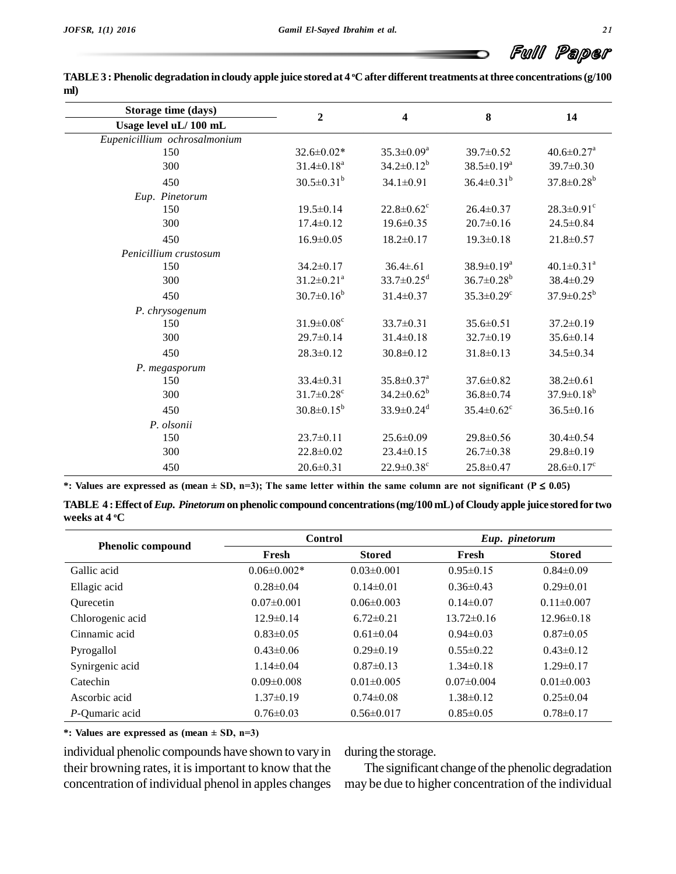| Storage time (days)          | $\overline{2}$<br>4          |                              | 8                            |                              |  |
|------------------------------|------------------------------|------------------------------|------------------------------|------------------------------|--|
| Usage level uL/100 mL        |                              |                              |                              | 14                           |  |
| Eupenicillium ochrosalmonium |                              |                              |                              |                              |  |
| 150                          | $32.6 \pm 0.02*$             | $35.3 \pm 0.09^a$            | $39.7 \pm 0.52$              | $40.6 \pm 0.27$ <sup>a</sup> |  |
| 300                          | $31.4 \pm 0.18$ <sup>a</sup> | $34.2 \pm 0.12^b$            | $38.5 \pm 0.19^a$            | 39.7±0.30                    |  |
| 450                          | $30.5 \pm 0.31^b$            | $34.1 \pm 0.91$              | $36.4 \pm 0.31^b$            | $37.8 \pm 0.28^b$            |  |
| Eup. Pinetorum               |                              |                              |                              |                              |  |
| 150                          | $19.5 \pm 0.14$              | $22.8 \pm 0.62$ <sup>c</sup> | $26.4 \pm 0.37$              | $28.3 \pm 0.91$ <sup>c</sup> |  |
| 300                          | $17.4 \pm 0.12$              | $19.6 \pm 0.35$              | $20.7 \pm 0.16$              | $24.5 \pm 0.84$              |  |
| 450                          | $16.9 \pm 0.05$              | $18.2 \pm 0.17$              | $19.3 \pm 0.18$              | $21.8 \pm 0.57$              |  |
| Penicillium crustosum        |                              |                              |                              |                              |  |
| 150                          | $34.2 \pm 0.17$              | $36.4 \pm 0.61$              | $38.9 \pm 0.19^a$            | $40.1 \pm 0.31$ <sup>a</sup> |  |
| 300                          | $31.2 \pm 0.21$ <sup>a</sup> | $33.7 \pm 0.25$ <sup>d</sup> | $36.7 \pm 0.28$ <sup>b</sup> | 38.4±0.29                    |  |
| 450                          | $30.7 \pm 0.16^b$            | $31.4 \pm 0.37$              | $35.3 \pm 0.29$ <sup>c</sup> | $37.9 \pm 0.25^b$            |  |
| P. chrysogenum               |                              |                              |                              |                              |  |
| 150                          | $31.9 \pm 0.08$ <sup>c</sup> | $33.7 \pm 0.31$              | $35.6 \pm 0.51$              | $37.2 \pm 0.19$              |  |
| 300                          | $29.7 \pm 0.14$              | $31.4 \pm 0.18$              | $32.7 \pm 0.19$              | $35.6 \pm 0.14$              |  |
| 450                          | $28.3 \pm 0.12$              | $30.8 \pm 0.12$              | $31.8 \pm 0.13$              | 34.5±0.34                    |  |
| P. megasporum                |                              |                              |                              |                              |  |
| 150                          | $33.4 \pm 0.31$              | $35.8 \pm 0.37$ <sup>a</sup> | $37.6 \pm 0.82$              | $38.2 \pm 0.61$              |  |
| 300                          | $31.7 \pm 0.28$ <sup>c</sup> | $34.2 \pm 0.62^b$            | $36.8 \pm 0.74$              | $37.9 \pm 0.18^b$            |  |
| 450                          | $30.8 \pm 0.15^b$            | $33.9 \pm 0.24$ <sup>d</sup> | $35.4 \pm 0.62$ <sup>c</sup> | $36.5 \pm 0.16$              |  |
| P. olsonii                   |                              |                              |                              |                              |  |
| 150                          | $23.7 \pm 0.11$              | $25.6 \pm 0.09$              | $29.8 \pm 0.56$              | $30.4 \pm 0.54$              |  |
| 300                          | $22.8 \pm 0.02$              | $23.4 \pm 0.15$              | $26.7 \pm 0.38$              | 29.8±0.19                    |  |
| 450                          | $20.6 \pm 0.31$              | $22.9 \pm 0.38$ <sup>c</sup> | $25.8 \pm 0.47$              | $28.6 \pm 0.17$ <sup>c</sup> |  |

| TABLE 3 : Phenolic degradation in cloudy apple juice stored at 4 °C after different treatments at three concentrations (g/100 |  |
|-------------------------------------------------------------------------------------------------------------------------------|--|
| ml)                                                                                                                           |  |

\*: Values are expressed as (mean  $\pm$  SD, n=3); The same letter within the same column are not significant (P  $\leq$  0.05)

TABLE 4: Effect of Eup. Pinetorum on phenolic compound concentrations (mg/100 mL) of Cloudy apple juice stored for two **weeks at 4 <sup>o</sup>C**

|                          | <b>Control</b>    |                  | Eup. pinetorum   |                  |
|--------------------------|-------------------|------------------|------------------|------------------|
| <b>Phenolic compound</b> | Fresh             | <b>Stored</b>    | Fresh            | <b>Stored</b>    |
| Gallic acid              | $0.06 \pm 0.002*$ | $0.03 \pm 0.001$ | $0.95 \pm 0.15$  | $0.84 \pm 0.09$  |
| Ellagic acid             | $0.28 \pm 0.04$   | $0.14\pm0.01$    | $0.36\pm0.43$    | $0.29 \pm 0.01$  |
| Ourecetin                | $0.07 \pm 0.001$  | $0.06 \pm 0.003$ | $0.14\pm0.07$    | $0.11 \pm 0.007$ |
| Chlorogenic acid         | $12.9 \pm 0.14$   | $6.72 \pm 0.21$  | $13.72 \pm 0.16$ | $12.96\pm0.18$   |
| Cinnamic acid            | $0.83 \pm 0.05$   | $0.61 \pm 0.04$  | $0.94\pm0.03$    | $0.87\pm0.05$    |
| Pyrogallol               | $0.43 \pm 0.06$   | $0.29 \pm 0.19$  | $0.55 \pm 0.22$  | $0.43\pm0.12$    |
| Synirgenic acid          | $1.14\pm0.04$     | $0.87\pm0.13$    | $1.34\pm0.18$    | $1.29 \pm 0.17$  |
| Catechin                 | $0.09 \pm 0.008$  | $0.01 \pm 0.005$ | $0.07 \pm 0.004$ | $0.01 \pm 0.003$ |
| Ascorbic acid            | $1.37\pm0.19$     | $0.74 \pm 0.08$  | $1.38\pm0.12$    | $0.25 \pm 0.04$  |
| P-Qumaric acid           | $0.76 \pm 0.03$   | $0.56 \pm 0.017$ | $0.85 \pm 0.05$  | $0.78 \pm 0.17$  |

**\*: Values are expressed as(mean <sup>±</sup> SD, n=3)**

individual phenolic compounds have shown to varyin their browning rates, it is important to know that the concentration of individual phenol in apples changes

during the storage.

The significant change of the phenolic degradation may be due to higher concentration of the individual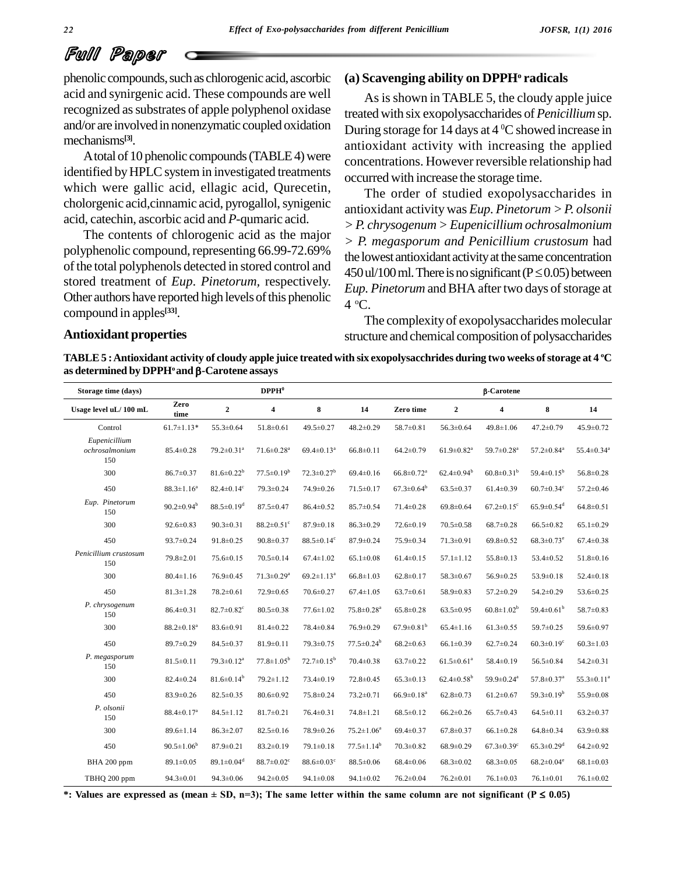phenolic compounds, such as chlorogenic acid, ascorbic acid and synirgenic acid. These compounds are well recognized as substrates of apple polyphenol oxidase and/or are involvedin nonenzymatic coupled oxidation mechanisms **[3]**.

A total of 10 phenolic compounds (TABLE4) were identified by HPLC system in investigated treatments which were gallic acid, ellagic acid, Qurecetin, cholorgenic acid, cinnamic acid, pyrogallol, synigenic acid, catechin, ascorbic acid and *P*-qumaric acid.

The contents of chlorogenic acid as the major polyphenolic compound, representing 66.99-72.69% of the total polyphenols detected in stored control and stored treatment of *Eup*. *Pinetorum,* respectively. Other authors have reported high levels of this phenolic compound in apples **[33]**.

#### **(a) Scavenging ability on DPPH<sup>o</sup> radicals**

As is shown in TABLE 5, the cloudy apple juice treated with six exopolysaccharides of*Penicillium*sp. During storage for 14 days at 4 <sup>o</sup>C showed increase in antioxidant activity with increasing the applied concentrations. However reversible relationship had occurred with increase the storage time.

The order of studied exopolysaccharides in antioxidant activity was *Eup. Pinetorum >P. olsonii >P. chrysogenum >Eupenicillium ochrosalmonium > P. megasporum and Penicillium crustosum* had the lowest antioxidant activity at the same concentration  $450$  ul/100 ml. There is no significant ( $P \le 0.05$ ) between *Eup. Pinetorum* and BHA after two days of storage at 4 °C.

The complexity of exopolysaccharides molecular structure and chemical composition of polysaccharides

#### **Antioxidant properties**

TABLE 5 : Antioxidant activity of cloudy apple juice treated with six exopolysacchrides during two weeks of storage at 4 °C **as determined by DPPH<sup>o</sup> and -Carotene assays**

| Storage time (days)                    |                   |                              | DPPH <sup>0</sup>            |                              |                              |                              |                              | <b>B-Carotene</b>            |                              |                              |
|----------------------------------------|-------------------|------------------------------|------------------------------|------------------------------|------------------------------|------------------------------|------------------------------|------------------------------|------------------------------|------------------------------|
| Usage level uL/100 mL                  | Zero<br>time      | $\mathbf 2$                  | $\overline{\mathbf{4}}$      | 8                            | 14                           | Zero time                    | $\boldsymbol{2}$             | $\overline{\mathbf{4}}$      | $\bf 8$                      | 14                           |
| Control                                | $61.7 \pm 1.13*$  | $55.3 \pm 0.64$              | $51.8 \pm 0.61$              | 49.5±0.27                    | $48.2 \pm 0.29$              | 58.7±0.81                    | $56.3 \pm 0.64$              | $49.8 \pm 1.06$              | $47.2 \pm 0.79$              | 45.9±0.72                    |
| Eupenicillium<br>ochrosalmonium<br>150 | $85.4 \pm 0.28$   | $79.2 \pm 0.31$ <sup>a</sup> | $71.6 \pm 0.28$ <sup>a</sup> | $69.4 \pm 0.13$ <sup>a</sup> | $66.8 \pm 0.11$              | $64.2 \pm 0.79$              | $61.9 \pm 0.82$ <sup>a</sup> | 59.7±0.28 <sup>a</sup>       | $57.2 \pm 0.84$ <sup>a</sup> | $55.4 \pm 0.34$ <sup>a</sup> |
| 300                                    | $86.7 \pm 0.37$   | $81.6 \pm 0.22^b$            | $77.5 \pm 0.19^b$            | $72.3 \pm 0.27$ <sup>b</sup> | $69.4 \pm 0.16$              | $66.8 \pm 0.72$ <sup>a</sup> | $62.4 \pm 0.94^b$            | $60.8 \pm 0.31^{\rm b}$      | $59.4 \pm 0.15^b$            | $56.8 \pm 0.28$              |
| 450                                    | $88.3 \pm 1.16^a$ | $82.4 \pm 0.14$ <sup>c</sup> | 79.3±0.24                    | 74.9±0.26                    | $71.5 \pm 0.17$              | $67.3 \pm 0.64^b$            | $63.5 \pm 0.37$              | $61.4 \pm 0.39$              | $60.7 \pm 0.34$ <sup>c</sup> | $57.2 \pm 0.46$              |
| Eup. Pinetorum<br>150                  | $90.2 \pm 0.94^b$ | $88.5 \pm 0.19$ <sup>d</sup> | $87.5 \pm 0.47$              | $86.4 \pm 0.52$              | $85.7 \pm 0.54$              | $71.4 \pm 0.28$              | $69.8 \pm 0.64$              | $67.2 \pm 0.15$ <sup>c</sup> | $65.9 \pm 0.54$ <sup>d</sup> | $64.8 \pm 0.51$              |
| 300                                    | $92.6 \pm 0.83$   | $90.3 \pm 0.31$              | $88.2 \pm 0.51$ <sup>c</sup> | $87.9 \pm 0.18$              | $86.3 \pm 0.29$              | $72.6 \pm 0.19$              | $70.5 \pm 0.58$              | $68.7 \pm 0.28$              | $66.5 \pm 0.82$              | $65.1 \pm 0.29$              |
| 450                                    | $93.7 \pm 0.24$   | $91.8 \pm 0.25$              | $90.8 \pm 0.37$              | $88.5 \pm 0.14$ <sup>c</sup> | $87.9 \pm 0.24$              | 75.9±0.34                    | $71.3 \pm 0.91$              | $69.8 \pm 0.52$              | $68.3 \pm 0.73$ <sup>e</sup> | $67.4 \pm 0.38$              |
| Penicillium crustosum<br>150           | 79.8±2.01         | $75.6 \pm 0.15$              | $70.5 \pm 0.14$              | $67.4 \pm 1.02$              | $65.1 \pm 0.08$              | $61.4 \pm 0.15$              | $57.1 \pm 1.12$              | $55.8 \pm 0.13$              | $53.4 \pm 0.52$              | $51.8 \pm 0.16$              |
| 300                                    | $80.4 \pm 1.16$   | $76.9 \pm 0.45$              | $71.3 \pm 0.29$ <sup>a</sup> | $69.2 \pm 1.13$ <sup>a</sup> | $66.8 \pm 1.03$              | $62.8 \pm 0.17$              | 58.3±0.67                    | $56.9 \pm 0.25$              | $53.9 \pm 0.18$              | $52.4 \pm 0.18$              |
| 450                                    | $81.3 \pm 1.28$   | $78.2 \pm 0.61$              | $72.9 \pm 0.65$              | $70.6 \pm 0.27$              | $67.4 \pm 1.05$              | $63.7 \pm 0.61$              | 58.9±0.83                    | $57.2 \pm 0.29$              | $54.2 \pm 0.29$              | 53.6±0.25                    |
| P. chrysogenum<br>150                  | $86.4 \pm 0.31$   | $82.7 \pm 0.82$ <sup>c</sup> | $80.5 \pm 0.38$              | $77.6 \pm 1.02$              | $75.8 \pm 0.28$ <sup>a</sup> | $65.8 \pm 0.28$              | $63.5 \pm 0.95$              | $60.8 \pm 1.02^b$            | 59.4 $\pm$ 0.61 <sup>b</sup> | 58.7±0.83                    |
| 300                                    | $88.2 \pm 0.18^a$ | 83.6±0.91                    | $81.4 \pm 0.22$              | 78.4±0.84                    | 76.9±0.29                    | $67.9 \pm 0.81^{\rm b}$      | $65.4 \pm 1.16$              | $61.3 \pm 0.55$              | 59.7±0.25                    | 59.6±0.97                    |
| 450                                    | 89.7±0.29         | $84.5 \pm 0.37$              | $81.9 \pm 0.11$              | 79.3±0.75                    | $77.5 \pm 0.24^b$            | $68.2 \pm 0.63$              | $66.1 \pm 0.39$              | $62.7 \pm 0.24$              | $60.3 \pm 0.19$ <sup>c</sup> | $60.3 \pm 1.03$              |
| P. megasporum<br>150                   | $81.5 \pm 0.11$   | $79.3 \pm 0.12^a$            | $77.8 \pm 1.05^b$            | $72.7 \pm 0.15^b$            | $70.4 \pm 0.38$              | $63.7 \pm 0.22$              | $61.5 \pm 0.61^a$            | $58.4 \pm 0.19$              | $56.5 \pm 0.84$              | $54.2 \pm 0.31$              |
| 300                                    | $82.4 \pm 0.24$   | $81.6 \pm 0.14^b$            | $79.2 \pm 1.12$              | $73.4 \pm 0.19$              | 72.8±0.45                    | $65.3 \pm 0.13$              | $62.4 \pm 0.58^{\rm b}$      | 59.9±0.24 <sup>a</sup>       | $57.8 \pm 0.37$ <sup>a</sup> | $55.3 \pm 0.11^a$            |
| 450                                    | 83.9±0.26         | $82.5 \pm 0.35$              | 80.6±0.92                    | 75.8±0.24                    | $73.2 \pm 0.71$              | $66.9 \pm 0.18$ <sup>a</sup> | $62.8 \pm 0.73$              | $61.2 \pm 0.67$              | $59.3 \pm 0.19^b$            | 55.9±0.08                    |
| P. olsonii<br>150                      | $88.4 \pm 0.17^a$ | $84.5 \pm 1.12$              | $81.7 \pm 0.21$              | $76.4 \pm 0.31$              | $74.8 \pm 1.21$              | $68.5 \pm 0.12$              | $66.2 \pm 0.26$              | $65.7 \pm 0.43$              | $64.5 \pm 0.11$              | $63.2 \pm 0.37$              |
| 300                                    | $89.6 \pm 1.14$   | $86.3 \pm 2.07$              | $82.5 \pm 0.16$              | 78.9±0.26                    | $75.2 \pm 1.06^a$            | $69.4 \pm 0.37$              | $67.8 \pm 0.37$              | $66.1 \pm 0.28$              | $64.8 \pm 0.34$              | $63.9 \pm 0.88$              |
| 450                                    | $90.5 \pm 1.06^b$ | $87.9 \pm 0.21$              | $83.2 \pm 0.19$              | $79.1 \pm 0.18$              | $77.5 \pm 1.14^b$            | $70.3 \pm 0.82$              | $68.9 \pm 0.29$              | $67.3 \pm 0.39$ <sup>c</sup> | $65.3 \pm 0.29$ <sup>d</sup> | $64.2 \pm 0.92$              |
| BHA 200 ppm                            | $89.1 \pm 0.05$   | 89.1 $\pm$ 0.04 <sup>d</sup> | $88.7 \pm 0.02$ <sup>c</sup> | $88.6 \pm 0.03$ <sup>c</sup> | $88.5 \pm 0.06$              | $68.4 \pm 0.06$              | $68.3 \pm 0.02$              | $68.3 \pm 0.05$              | $68.2 \pm 0.04$ <sup>e</sup> | $68.1 \pm 0.03$              |
| TBHQ 200 ppm                           | $94.3 \pm 0.01$   | $94.3 \pm 0.06$              | $94.2 \pm 0.05$              | $94.1 \pm 0.08$              | $94.1 \pm 0.02$              | $76.2 \pm 0.04$              | $76.2 \pm 0.01$              | $76.1 \pm 0.03$              | $76.1 \pm 0.01$              | $76.1 \pm 0.02$              |

\*: Values are expressed as (mean  $\pm$  SD, n=3); The same letter within the same column are not significant ( $P \le 0.05$ )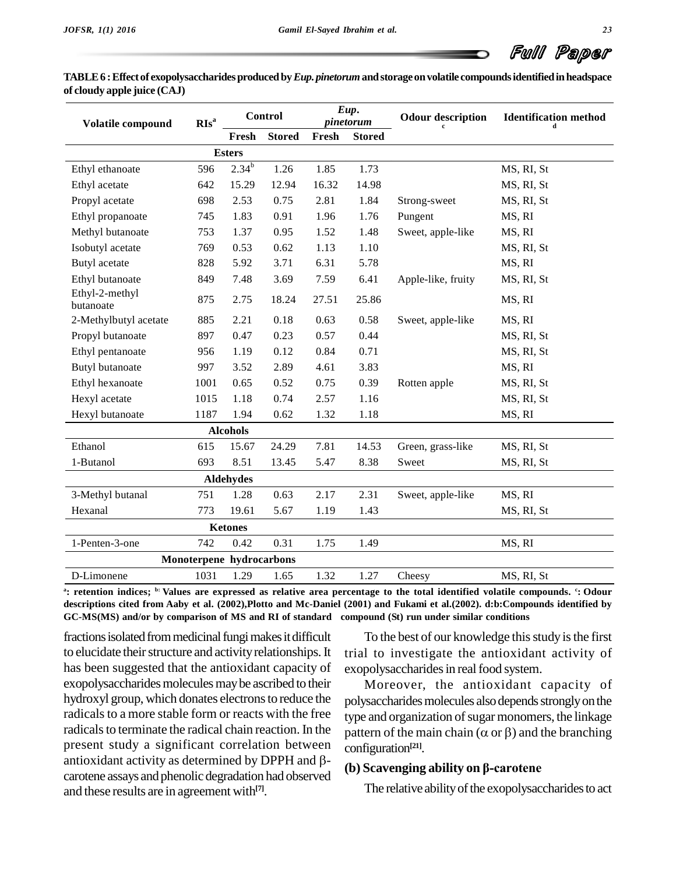| TABLE 6 : Effect of exopolysaccharides produced by Eup. pinetorum and storage on volatile compounds identified in headspace |  |
|-----------------------------------------------------------------------------------------------------------------------------|--|
| of cloudy apple juice $(CAJ)$                                                                                               |  |

| Volatile compound           | RIs <sup>a</sup>         |                  | <b>Control</b> |       | Eup.<br>pinetorum | <b>Odour description</b> | <b>Identification</b> method |  |
|-----------------------------|--------------------------|------------------|----------------|-------|-------------------|--------------------------|------------------------------|--|
|                             |                          | Fresh            | <b>Stored</b>  | Fresh | <b>Stored</b>     |                          |                              |  |
|                             |                          | <b>Esters</b>    |                |       |                   |                          |                              |  |
| Ethyl ethanoate             | 596                      | $2.34^{b}$       | 1.26           | 1.85  | 1.73              |                          | MS, RI, St                   |  |
| Ethyl acetate               | 642                      | 15.29            | 12.94          | 16.32 | 14.98             |                          | MS, RI, St                   |  |
| Propyl acetate              | 698                      | 2.53             | 0.75           | 2.81  | 1.84              | Strong-sweet             | MS, RI, St                   |  |
| Ethyl propanoate            | 745                      | 1.83             | 0.91           | 1.96  | 1.76              | Pungent                  | MS, RI                       |  |
| Methyl butanoate            | 753                      | 1.37             | 0.95           | 1.52  | 1.48              | Sweet, apple-like        | MS, RI                       |  |
| Isobutyl acetate            | 769                      | 0.53             | 0.62           | 1.13  | 1.10              |                          | MS, RI, St                   |  |
| Butyl acetate               | 828                      | 5.92             | 3.71           | 6.31  | 5.78              |                          | MS, RI                       |  |
| Ethyl butanoate             | 849                      | 7.48             | 3.69           | 7.59  | 6.41              | Apple-like, fruity       | MS, RI, St                   |  |
| Ethyl-2-methyl<br>butanoate | 875                      | 2.75             | 18.24          | 27.51 | 25.86             |                          | MS, RI                       |  |
| 2-Methylbutyl acetate       | 885                      | 2.21             | 0.18           | 0.63  | 0.58              | Sweet, apple-like        | MS, RI                       |  |
| Propyl butanoate            | 897                      | 0.47             | 0.23           | 0.57  | 0.44              |                          | MS, RI, St                   |  |
| Ethyl pentanoate            | 956                      | 1.19             | 0.12           | 0.84  | 0.71              |                          | MS, RI, St                   |  |
| <b>Butyl</b> butanoate      | 997                      | 3.52             | 2.89           | 4.61  | 3.83              |                          | MS, RI                       |  |
| Ethyl hexanoate             | 1001                     | 0.65             | 0.52           | 0.75  | 0.39              | Rotten apple             | MS, RI, St                   |  |
| Hexyl acetate               | 1015                     | 1.18             | 0.74           | 2.57  | 1.16              |                          | MS, RI, St                   |  |
| Hexyl butanoate             | 1187                     | 1.94             | 0.62           | 1.32  | 1.18              |                          | MS, RI                       |  |
|                             |                          | <b>Alcohols</b>  |                |       |                   |                          |                              |  |
| Ethanol                     | 615                      | 15.67            | 24.29          | 7.81  | 14.53             | Green, grass-like        | MS, RI, St                   |  |
| 1-Butanol                   | 693                      | 8.51             | 13.45          | 5.47  | 8.38              | Sweet                    | MS, RI, St                   |  |
|                             |                          | <b>Aldehydes</b> |                |       |                   |                          |                              |  |
| 3-Methyl butanal            | 751                      | 1.28             | 0.63           | 2.17  | 2.31              | Sweet, apple-like        | MS, RI                       |  |
| Hexanal                     | 773                      | 19.61            | 5.67           | 1.19  | 1.43              |                          | MS, RI, St                   |  |
|                             |                          | <b>Ketones</b>   |                |       |                   |                          |                              |  |
| 1-Penten-3-one              | 742                      | 0.42             | 0.31           | 1.75  | 1.49              |                          | MS, RI                       |  |
|                             | Monoterpene hydrocarbons |                  |                |       |                   |                          |                              |  |
| D-Limonene                  | 1031                     | 1.29             | 1.65           | 1.32  | 1.27              | Cheesy                   | MS, RI, St                   |  |

etention indices; b: Values are expressed as relative area percentage to the total identified volatile compounds. °: Odour " descriptions cited from Aaby et al. (2002), Plotto and Mc-Daniel (2001) and Fukami et al. (2002). d:b: Compounds identified by **GC-MS(MS) and/or by comparison of MS and RI of standard compound (St) run under similar conditions**

fractions isolated from medicinal fungi makes it difficult to elucidate their structure and activity relationships. It has been suggested that the antioxidant capacity of exopolysaccharides molecules may be ascribed to their hydroxyl group, which donates electrons to reduce the radicals to a more stable form or reacts with the free radicals to terminate the radical chain reaction. In the present study a significant correlation between configu radicals to terminate the radical chain reaction. In the part<br>present study a significant correlation between contantioxidant activity as determined by DPPH and  $\beta$ and activity as determined by  $B1111$  and  $p$  (b) Scavenging ability on  $\beta$ -carotene carotene assays and phenolic degradation had observed and these results are in agreement with **[7]**.

To the best of our knowledge this study is the first trial to investigate the antioxidant activity of exopolysaccharides in real food system.

Moreover, the antioxidant capacity of polysaccharides molecules also depends strongly on the<br>type and organization of sugar monomers, the linkage<br>pattern of the main chain ( $\alpha$  or  $\beta$ ) and the branching type and organization of sugar monomers, the linkage configuration **[21]**. **pattern** of the main chain ( $\alpha$  or  $\beta$ ) and the branching

The relative ability of the exopolysaccharides to act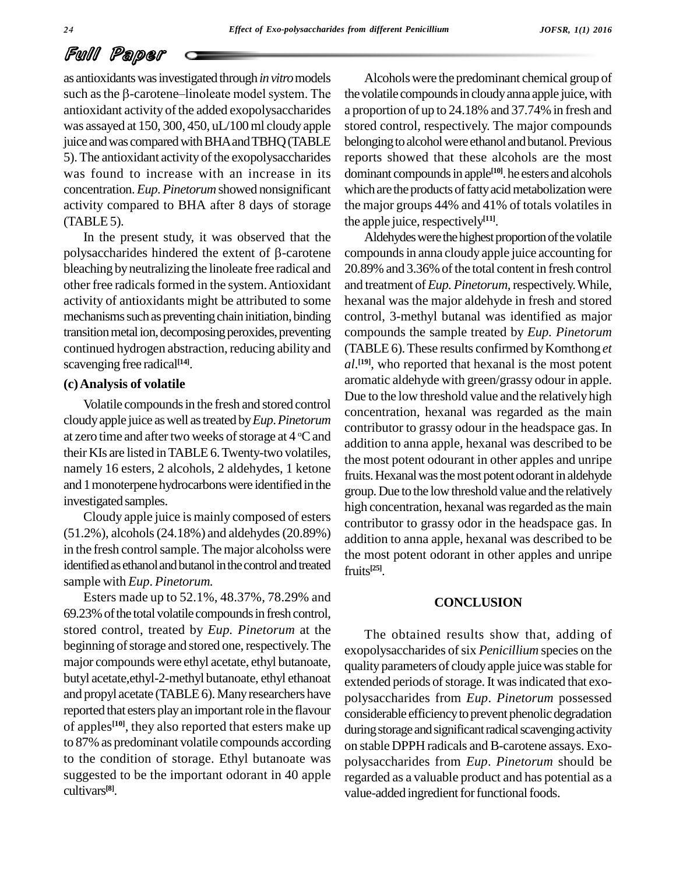as antioxidantswasinvestigated through*invitro*models such as the  $\beta$ -carotene-linoleate model system. The antioxidant activity of the added exopolysaccharides was assayed at 150, 300, 450, uL/100ml cloudy apple juice and was compared with BHA and TBHQ (TABLE 5). The antioxidant activity of the exopolysaccharides was found to increase with an increase in its concentration.*Eup*.*Pinetorum* showed nonsignificant activity compared to BHA after 8 days of storage  $(TABLE5)$ .

In the present study, it was observed that the polysaccharides hindered the extent of  $\beta$ -carotene bleaching byneutralizing the linoleate free radical and other free radicals formed in the system. Antioxidant activity of antioxidants might be attributed to some mechanisms such as preventing chain initiation, binding transition metal ion, decomposing peroxides, preventing continued hydrogen abstraction, reducing ability and scavenging free radical **[14]**.

#### **(c)Analysis of volatile**

Volatile compounds in the fresh and stored control cloudyapple juice aswell astreated by*Eup*.*Pinetorum* at zero time and after two weeks of storage at  $4^{\circ}$ C and addition their KIs are listed inTABLE6.Twenty-two volatiles, namely 16 esters, 2 alcohols, 2 aldehydes, 1 ketone and 1monoterpene hydrocarbonswere identified in the investigated samples.

Cloudy apple juice is mainly composed of esters (51.2%), alcohols(24.18%) and aldehydes(20.89%) in the fresh control sample. The major alcoholss were identified as ethanol and butanol in the control and treated sample with *Eup*. *Pinetorum.*

Esters made up to 52.1%, 48.37%, 78.29% and 69.23% of the total volatile compounds in fresh control, stored control, treated by *Eup. Pinetorum* at the beginning of storage and stored one, respectively. The major compounds were ethyl acetate, ethyl butanoate, butyl acetate,ethyl-2-methyl butanoate, ethyl ethanoat and propyl acetate (TABLE 6). Many researchers have reported that esters play an important role in the flavour of apples<sup>[10]</sup>, they also reported that esters make up during to 87% as predominant volatile compounds according to the condition of storage. Ethyl butanoate was suggested to be the important odorant in 40 apple cultivars **[8]**.

Alcoholswere the predominant chemical group of the volatile compounds in cloudy anna apple juice, with a proportion of up to 24.18% and 37.74% in fresh and stored control, respectively. The major compounds belonging to alcohol were ethanol and butanol. Previous reports showed that these alcohols are the most dominant compounds in apple<sup>[10]</sup>. he esters and alcohols which are the products of fatty acid metabolization were the major groups 44% and 41% of totals volatiles in the apple juice, respectively<sup>[11]</sup>.

Aldehydes were the highest proportion of the volatile compoundsin anna cloudy apple juice accounting for 20.89% and 3.36% of the total content in fresh control and treatment of*Eup. Pinetorum,*respectively.While, hexanal was the major aldehyde in fresh and stored control, 3-methyl butanal was identified as major compounds the sample treated by *Eup. Pinetorum* (TABLE 6). These results confirmed by Komthong et *al*. **[19]**, who reported that hexanal is the most potent aromatic aldehyde with green/grassy odour in apple. Due to the low threshold value and the relatively high concentration, hexanal was regarded as the main contributor to grassy odour in the headspace gas. In addition to anna apple, hexanal was described to be the most potent odourant in other apples and unripe fruits. Hexanal was the most potent odorant in aldehyde group.Due to the lowthreshold value and the relatively high concentration, hexanal was regarded as the main contributor to grassy odor in the headspace gas. In addition to anna apple, hexanal was described to be the most potent odorant in other apples and unripe fruits **[25]**.

#### **CONCLUSION**

The obtained results show that, adding of exopolysaccharides of six *Penicillium* species on the qualityparameters of cloudyapple juicewasstable for extended periods of storage. It was indicated that exopolysaccharides from *Eup*. *Pinetorum* possessed considerable efficiency to prevent phenolic degradation during storage and significant radical scavenging activity on stable DPPH radicals and B-carotene assays. Exo polysaccharides from *Eup*. *Pinetorum* should be regarded as a valuable product and has potential as a value-added ingredient for functional foods.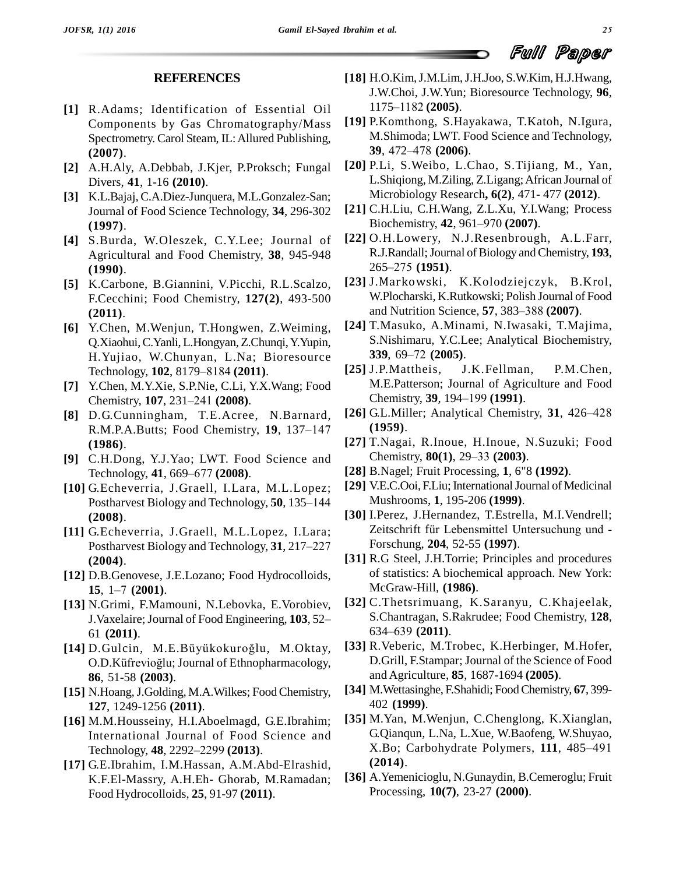#### **REFERENCES**

- **[1]** R.Adams; Identification of Essential Oil Components by Gas Chromatography/Mass Spectrometry. Carol Steam, IL:Allured Publishing, **(2007)**.
- **[2]** A.H.Aly, A.Debbab, J.Kjer, P.Proksch; Fungal Divers, **41**, 1-16 **(2010)**.
- **[3]** K.L.Bajaj,C.A.Diez-Junquera, M.L.Gonzalez-San; Journal of Food Science Technology, **34**, 296-302 [21] C.H.Liu, C.H.Wang, Z.L.Xu, Y.I.N<br>(**1997**) Biochemistry, **42**, 961–970 (**2007**). **(1997)**.
- **[4]** S.Burda, W.Oleszek, C.Y.Lee; Journal of Agricultural and Food Chemistry, **38**, 945-948 R.J.Randall; Journ<br>(1990) 265–275 (1951). **(1990)**.
- F.Cecchini; Food Chemistry, 127(2), 493-500 W.Plocharski, K.Rutkowski; Polish Journal of (2011)<br>and Nutrition Science, 57, 383–388 (2007). **(2011)**.
- **[6]** Y.Chen, M.Wenjun, T.Hongwen, Z.Weiming, Q.Xiaohui,C.Yanli,L.Hongyan, Z.Chunqi,Y.Yupin, H.Yujiao, W.Chunyan, L.Na; Bioresource Q.Xiaohui, C.Yanli, L.Hongyan, Z.Chunqi,<br>H.Yujiao, W.Chunyan, L.Na; Biore<br>Technology, **102**, 8179–8184 (**2011**).
- **[7]** Y.Chen, M.Y.Xie, S.P.Nie, C.Li, Y.X.Wang; Food Technology, **102**, 8179–8184 (**2011**).<br>Y.Chen, M.Y.Xie, S.P.Nie, C.Li, Y.X.<br>Chemistry, **107**, 231–241 (**2008**).
- **[8]** D.G.Cunningham, T.E.Acree, N.Barnard, Chemistry, 107, 231–241 (2008).<br>D.G.Cunningham, T.E.Acree, N.Barnard,<br>R.M.P.A.Butts; Food Chemistry, 19, 137–147 **(1986)**.
- **[9]** C.H.Dong, Y.J.Yao; LWT. Food Science and (<mark>1986</mark>).<br>C.H.Dong, Y.J.Yao; LWT. Food S<br>Technology, **41**, 669–677 (**2008**).
- **[10]** G.Echeverria, J.Graell, I.Lara, M.L.Lopez; Technology, 41, 669–677 (2008).<br>G.Echeverria, J.Graell, I.Lara, M.L.Lopez;<br>Postharvest Biology and Technology, 50, 135–144 **(2008)**.
- **[11]** G.Echeverria, J.Graell, M.L.Lopez, I.Lara; **(2004)**.
- **[12]** D.B.Genovese, J.E.Lozano; Food Hydrocolloids, (**2004**).<br>D.B.Genovese, J.E.I<br>**15**, 1–7 (**2001**).
- **[13]** N.Grimi, F.Mamouni, N.Lebovka, E.Vorobiev, 15, 1–7 (2001).<br>
McGraw-Hill, (1<br>
N.Grimi, F.Mamouni, N.Lebovka, E.Vorobiev, [32] C.Thetsrimuan<br>
J.Vaxelaire; Journal of Food Engineering, 103, 52–<br>
634–639 (2011). 61 **(2011)**. **I.Vaxelaire; Journal of Food Engineering, 103, 52–<br>61 (2011).<br><b>[14]** D.Gulcin, M.E.Büyükokuroğlu, M.Oktay, <sup>[3</sup>]
- 61 (**2011**).<br>D.Gulcin, M.E.Büyükokuroğlu, M.Oktay, [<sup>3</sup><br>O.D.Küfrevioğlu; Journal of Ethnopharmacology, **86**, 51-58 **(2003)**.
- [15] N.Hoang, J.Golding, M.A.Wilkes; Food Chemistry, **127**, 1249-1256 **(2011)**.
- [16] M.M.Housseiny, H.I.Aboelmagd, G.E.Ibrahim; [3]<br>International Journal of Food Science and<br>Technology, **48**, 2292–2299 (**2013**).
- **[17]** G.E.Ibrahim, I.M.Hassan, A.M.Abd-Elrashid, K.F.El-Massry, A.H.Eh- Ghorab, M.Ramadan; Food Hydrocolloids, **25**, 91-97 **(2011)**.
- **[18]** H.O.Kim,J.M.Lim,J.H.Joo, S.W.Kim, H.J.Hwang, J.W.Choi, J.W.Yun; Bioresource Technology, **96**, H.O.Kim, J.M.Lim, J.H.<br>J.W.Choi, J.W.Yun; Bio<br>1175–1182 (**2005**).
- **[19]** P.Komthong, S.Hayakawa, T.Katoh, N.Igura, M.Shimoda; LWT. Food Science and Technology, 39, 472–478 **(2006**). M.Shimoda; LWT. Food Science and Technology,
- **[20]** P.Li, S.Weibo, L.Chao, S.Tijiang, M., Yan, L.Shiqiong, M.Ziling, Z.Ligang;African Journal of
- Microbiology Research, **6(2**), 471- 477 **(2012)**.<br>C.H.Liu, C.H.Wang, Z.L.Xu, Y.I.Wang; Process<br>Biochemistry, **42**, 961–970 **(2007**). **[21]** C.H.Liu, C.H.Wang, Z.L.Xu, Y.I.Wang; Process
- **[22]** O.H.Lowery, N.J.Resenbrough, A.L.Farr,<br>R.J.Randall; Journal of Biology and Chemistry, **193**,<br>265–275 **(1951)**. **[23]** J.Markowski, K.Kolodziejczyk, B.Krol, R.J.Randall;Journal ofBiology andChemistry, **193**,
- **[5]** K.Carbone, B.Giannini, V.Picchi, R.L.Scalzo, W.Plocharski, K.Rutkowski; Polish Journal of Food J. Markowski, K. Kolodziejczyk, B. Kro<br>W. Plocharski, K. Rutkowski; Polish Journal of Foo<br>and Nutrition Science, 57, 383–388 (2007).
	- **[24]** T.Masuko, A.Minami, N.Iwasaki, T.Majima, S.Nishimaru, Y.C.Lee; Analytical Biochemistry, **T.Masuko, A.Minami,**<br>S.Nishimaru, Y.C.Lee; .<br>**339**, 69–72 (**2005**).
	- **[25]** J.P.Mattheis, J.K.Fellman, P.M.Chen, M.E.Patterson; Journal of Agriculture and Food Chemistry, 39, 194-199 (1991).
	- $[26]$  G.L.Miller; Analytical Chemistry,  $31$ ,  $426-428$ **(1959)**.
	- **[27]** T.Nagai, R.Inoue, H.Inoue, N.Suzuki; Food (**1959**).<br>T.Nagai, R.Inoue, H.Inoue, N.Su<br>Chemistry, **80**(1), 29–33 (**2003**).
	- **[28]** B.Nagel; Fruit Processing, **1**, 6"8 **(1992)**.
	- [29] V.E.C.Ooi, F.Liu; International Journal of Medicinal Mushrooms, **1**, 195-206 **(1999)**.
	- G. Echeverria, J. Graell, M.L. Lopez, I. Lara;<br>
	Postharvest Biology and Technology, **31**, 217–227 Forschung, **204**, 52-55 (**1997**). **[30]** I.Perez, J.Hernandez, T.Estrella, M.I.Vendrell; Mushrooms, 1, 195-206 (**1999**).<br>I.Perez, J.Hernandez, T.Estrella, M.I.Vendrell;<br>Zeitschrift für Lebensmittel Untersuchung und -Forschung, **204**, 52-55 **(1997)**.
		- **[31]** R.G Steel, J.H.Torrie; Principles and procedures of statistics: A biochemical approach. New York: McGraw-Hill, **(1986)**.
		- [32] C.Thetsrimuang, K.Saranyu, C.Khajeelak, S.Chantragan, S.Rakrudee; Food Chemistry, 128, 634–639 **(2011)**. S.Chantragan, S.Rakrudee; Food Chemistry, **128***,*
		- **[33]** R.Veberic, M.Trobec, K.Herbinger, M.Hofer, D.Grill, F.Stampar; Journal of the Science of Food and Agriculture, **85**, 1687-1694 **(2005)**.
		- **[34]** M.Wettasinghe, F.Shahidi; FoodChemistry, **67**, 399- 402 **(1999)**.
	- International Journal of Food Science and [35] M.Yan, M.Wenjun, C.Chenglong, K.Xianglan,<br>G.Qianqun, L.Na, L.Xue, W.Baofeng, W.Shuyao,<br>X.Bo; Carbohydrate Polymers, **111**, 485–491 G.Qianqun, L.Na, L.Xue, W.Baofeng, W.Shuyao, **(2014)**.
		- **[36]** A.Yemenicioglu, N.Gunaydin, B.Cemeroglu; Fruit Processing, **10(7)**, 23-27 **(2000)**.